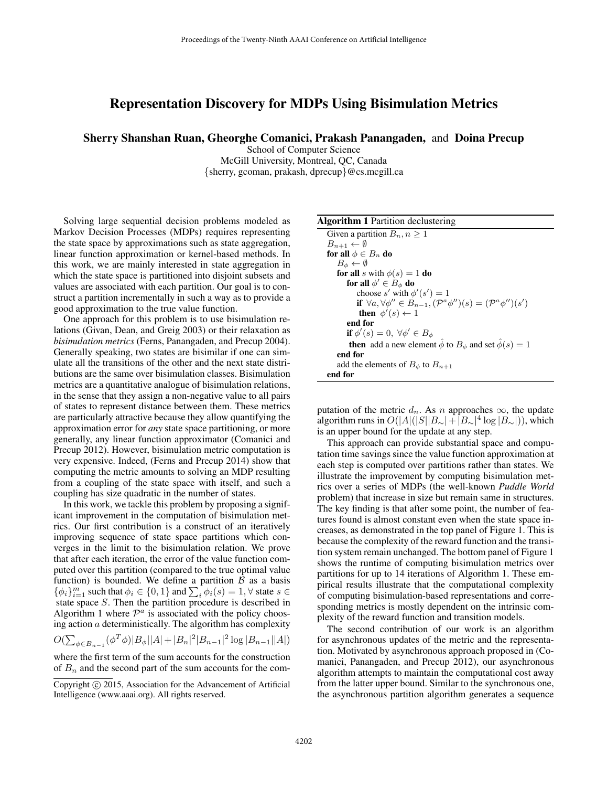## Representation Discovery for MDPs Using Bisimulation Metrics

Sherry Shanshan Ruan, Gheorghe Comanici, Prakash Panangaden, and Doina Precup

School of Computer Science McGill University, Montreal, QC, Canada {sherry, gcoman, prakash, dprecup}@cs.mcgill.ca

Solving large sequential decision problems modeled as Markov Decision Processes (MDPs) requires representing the state space by approximations such as state aggregation, linear function approximation or kernel-based methods. In this work, we are mainly interested in state aggregation in which the state space is partitioned into disjoint subsets and values are associated with each partition. Our goal is to construct a partition incrementally in such a way as to provide a good approximation to the true value function.

One approach for this problem is to use bisimulation relations (Givan, Dean, and Greig 2003) or their relaxation as *bisimulation metrics* (Ferns, Panangaden, and Precup 2004). Generally speaking, two states are bisimilar if one can simulate all the transitions of the other and the next state distributions are the same over bisimulation classes. Bisimulation metrics are a quantitative analogue of bisimulation relations, in the sense that they assign a non-negative value to all pairs of states to represent distance between them. These metrics are particularly attractive because they allow quantifying the approximation error for *any* state space partitioning, or more generally, any linear function approximator (Comanici and Precup 2012). However, bisimulation metric computation is very expensive. Indeed, (Ferns and Precup 2014) show that computing the metric amounts to solving an MDP resulting from a coupling of the state space with itself, and such a coupling has size quadratic in the number of states.

In this work, we tackle this problem by proposing a significant improvement in the computation of bisimulation metrics. Our first contribution is a construct of an iteratively improving sequence of state space partitions which converges in the limit to the bisimulation relation. We prove that after each iteration, the error of the value function computed over this partition (compared to the true optimal value function) is bounded. We define a partition  $\beta$  as a basis  $\{\phi_i\}_{i=1}^m$  such that  $\phi_i \in \{0, 1\}$  and  $\sum_i \phi_i(s) = 1, \forall$  state  $s \in$ state space S. Then the partition procedure is described in Algorithm 1 where  $\mathcal{P}^a$  is associated with the policy choosing action  $a$  deterministically. The algorithm has complexity

$$
O(\sum_{\phi \in B_{n-1}} (\phi^T \phi)|B_{\phi}||A| + |B_n|^2 |B_{n-1}|^2 \log |B_{n-1}||A|)
$$

where the first term of the sum accounts for the construction of  $B_n$  and the second part of the sum accounts for the com-

## Algorithm 1 Partition declustering

| Given a partition $B_n, n \geq 1$<br>$B_{n+1} \leftarrow \emptyset$<br>for all $\phi \in B_n$ do<br>$B_{\phi} \leftarrow \emptyset$<br><b>for all</b> s with $\phi(s) = 1$ <b>do</b><br>for all $\phi' \in B_{\phi}$ do<br>choose s' with $\phi'(s') = 1$<br>if $\forall a, \forall \phi'' \in B_{n-1}, (\mathcal{P}^a \phi'')(s) = (\mathcal{P}^a \phi'')(s')$<br>then $\phi'(s) \leftarrow 1$<br>end for<br>if $\phi'(s) = 0, \ \forall \phi' \in B_{\phi}$<br><b>then</b> add a new element $\ddot{\phi}$ to $B_{\phi}$ and set $\hat{\phi}(s) = 1$<br>end for<br>add the elements of $B_{\phi}$ to $B_{n+1}$<br>end for |  |
|-----------------------------------------------------------------------------------------------------------------------------------------------------------------------------------------------------------------------------------------------------------------------------------------------------------------------------------------------------------------------------------------------------------------------------------------------------------------------------------------------------------------------------------------------------------------------------------------------------------------------------|--|
|                                                                                                                                                                                                                                                                                                                                                                                                                                                                                                                                                                                                                             |  |
|                                                                                                                                                                                                                                                                                                                                                                                                                                                                                                                                                                                                                             |  |
|                                                                                                                                                                                                                                                                                                                                                                                                                                                                                                                                                                                                                             |  |
|                                                                                                                                                                                                                                                                                                                                                                                                                                                                                                                                                                                                                             |  |
|                                                                                                                                                                                                                                                                                                                                                                                                                                                                                                                                                                                                                             |  |
|                                                                                                                                                                                                                                                                                                                                                                                                                                                                                                                                                                                                                             |  |
|                                                                                                                                                                                                                                                                                                                                                                                                                                                                                                                                                                                                                             |  |
|                                                                                                                                                                                                                                                                                                                                                                                                                                                                                                                                                                                                                             |  |
|                                                                                                                                                                                                                                                                                                                                                                                                                                                                                                                                                                                                                             |  |
|                                                                                                                                                                                                                                                                                                                                                                                                                                                                                                                                                                                                                             |  |
|                                                                                                                                                                                                                                                                                                                                                                                                                                                                                                                                                                                                                             |  |
|                                                                                                                                                                                                                                                                                                                                                                                                                                                                                                                                                                                                                             |  |
|                                                                                                                                                                                                                                                                                                                                                                                                                                                                                                                                                                                                                             |  |
|                                                                                                                                                                                                                                                                                                                                                                                                                                                                                                                                                                                                                             |  |
|                                                                                                                                                                                                                                                                                                                                                                                                                                                                                                                                                                                                                             |  |

putation of the metric  $d_n$ . As n approaches  $\infty$ , the update algorithm runs in  $O(|A|(|S||B_\sim| + |B_\sim|^4 \log |B_\sim|))$ , which is an upper bound for the update at any step.

This approach can provide substantial space and computation time savings since the value function approximation at each step is computed over partitions rather than states. We illustrate the improvement by computing bisimulation metrics over a series of MDPs (the well-known *Puddle World* problem) that increase in size but remain same in structures. The key finding is that after some point, the number of features found is almost constant even when the state space increases, as demonstrated in the top panel of Figure 1. This is because the complexity of the reward function and the transition system remain unchanged. The bottom panel of Figure 1 shows the runtime of computing bisimulation metrics over partitions for up to 14 iterations of Algorithm 1. These empirical results illustrate that the computational complexity of computing bisimulation-based representations and corresponding metrics is mostly dependent on the intrinsic complexity of the reward function and transition models.

The second contribution of our work is an algorithm for asynchronous updates of the metric and the representation. Motivated by asynchronous approach proposed in (Comanici, Panangaden, and Precup 2012), our asynchronous algorithm attempts to maintain the computational cost away from the latter upper bound. Similar to the synchronous one, the asynchronous partition algorithm generates a sequence

Copyright © 2015, Association for the Advancement of Artificial Intelligence (www.aaai.org). All rights reserved.